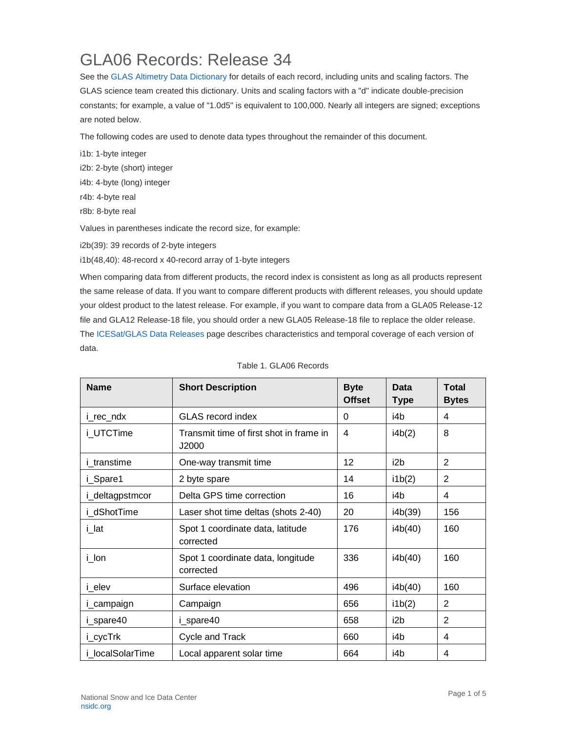## GLA06 Records: Release 34

See the [GLAS Altimetry Data Dictionary](https://nsidc.org/data/icesat/technical-references) for details of each record, including units and scaling factors. The GLAS science team created this dictionary. Units and scaling factors with a "d" indicate double-precision constants; for example, a value of "1.0d5" is equivalent to 100,000. Nearly all integers are signed; exceptions are noted below.

The following codes are used to denote data types throughout the remainder of this document.

i1b: 1-byte integer i2b: 2-byte (short) integer i4b: 4-byte (long) integer r4b: 4-byte real r8b: 8-byte real Values in parentheses indicate the record size, for example:

i2b(39): 39 records of 2-byte integers

i1b(48,40): 48-record x 40-record array of 1-byte integers

When comparing data from different products, the record index is consistent as long as all products represent the same release of data. If you want to compare different products with different releases, you should update your oldest product to the latest release. For example, if you want to compare data from a GLA05 Release-12 file and GLA12 Release-18 file, you should order a new GLA05 Release-18 file to replace the older release. The [ICESat/GLAS Data Releases](https://nsidc.org/data/icesat) page describes characteristics and temporal coverage of each version of data.

| <b>Name</b>      | <b>Short Description</b>                         | <b>Byte</b><br><b>Offset</b> | Data<br><b>Type</b> | <b>Total</b><br><b>Bytes</b> |
|------------------|--------------------------------------------------|------------------------------|---------------------|------------------------------|
| i_rec_ndx        | <b>GLAS</b> record index                         | 0                            | i4b                 | 4                            |
| i UTCTime        | Transmit time of first shot in frame in<br>J2000 | 4                            | i4b(2)              | 8                            |
| i_transtime      | One-way transmit time                            | 12                           | i2b                 | 2                            |
| i_Spare1         | 2 byte spare                                     | 14                           | i1b(2)              | $\overline{2}$               |
| i_deltagpstmcor  | Delta GPS time correction                        | 16                           | i4b                 | 4                            |
| i dShotTime      | Laser shot time deltas (shots 2-40)              | 20                           | i4b(39)             | 156                          |
| i_lat            | Spot 1 coordinate data, latitude<br>corrected    | 176                          | i4b(40)             | 160                          |
| i_lon            | Spot 1 coordinate data, longitude<br>corrected   | 336                          | i4b(40)             | 160                          |
| i_elev           | Surface elevation                                | 496                          | i4b(40)             | 160                          |
| i_campaign       | Campaign                                         | 656                          | i1b(2)              | 2                            |
| i_spare40        | i_spare40                                        | 658                          | i <sub>2</sub> b    | 2                            |
| i_cycTrk         | Cycle and Track                                  | 660                          | i4b                 | 4                            |
| i localSolarTime | Local apparent solar time                        | 664                          | i4b                 | 4                            |

Table 1. GLA06 Records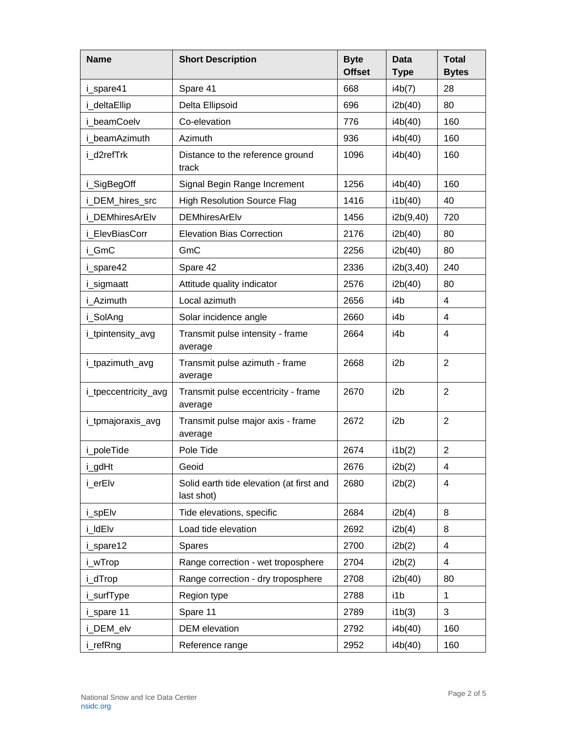| <b>Name</b>          | <b>Short Description</b>                               | <b>Byte</b><br><b>Offset</b> | <b>Data</b><br><b>Type</b> | <b>Total</b><br><b>Bytes</b> |
|----------------------|--------------------------------------------------------|------------------------------|----------------------------|------------------------------|
| i_spare41            | Spare 41                                               | 668                          | i4b(7)                     | 28                           |
| i deltaEllip         | Delta Ellipsoid                                        | 696                          | i2b(40)                    | 80                           |
| i beamCoelv          | Co-elevation                                           | 776                          | i4b(40)                    | 160                          |
| i beamAzimuth        | Azimuth                                                | 936                          | i4b(40)                    | 160                          |
| i d2refTrk           | Distance to the reference ground<br>track              | 1096                         | i4b(40)                    | 160                          |
| i_SigBegOff          | Signal Begin Range Increment                           | 1256                         | i4b(40)                    | 160                          |
| i_DEM_hires_src      | <b>High Resolution Source Flag</b>                     | 1416                         | i1b(40)                    | 40                           |
| i DEMhiresArElv      | <b>DEMhiresArElv</b>                                   | 1456                         | i2b(9,40)                  | 720                          |
| i ElevBiasCorr       | <b>Elevation Bias Correction</b>                       | 2176                         | i2b(40)                    | 80                           |
| i GmC                | GmC                                                    | 2256                         | i2b(40)                    | 80                           |
| i_spare42            | Spare 42                                               | 2336                         | i2b(3,40)                  | 240                          |
| i_sigmaatt           | Attitude quality indicator                             | 2576                         | i2b(40)                    | 80                           |
| i Azimuth            | Local azimuth                                          | 2656                         | i4b                        | 4                            |
| i_SolAng             | Solar incidence angle                                  | 2660                         | i4b                        | 4                            |
| i_tpintensity_avg    | Transmit pulse intensity - frame<br>average            | 2664                         | i4b                        | 4                            |
| i_tpazimuth_avg      | Transmit pulse azimuth - frame<br>average              | 2668                         | i <sub>2</sub> b           | $\overline{2}$               |
| i_tpeccentricity_avg | Transmit pulse eccentricity - frame<br>average         | 2670                         | i <sub>2</sub> b           | $\overline{2}$               |
| i_tpmajoraxis_avg    | Transmit pulse major axis - frame<br>average           | 2672                         | i <sub>2</sub> b           | $\overline{2}$               |
| i_poleTide           | Pole Tide                                              | 2674                         | i1b(2)                     | $\overline{2}$               |
| i_gdHt               | Geoid                                                  | 2676                         | i2b(2)                     | 4                            |
| i_erElv              | Solid earth tide elevation (at first and<br>last shot) | 2680                         | i2b(2)                     | 4                            |
| i_spElv              | Tide elevations, specific                              | 2684                         | i2b(4)                     | 8                            |
| i_ldElv              | Load tide elevation                                    | 2692                         | i2b(4)                     | 8                            |
| i_spare12            | Spares                                                 | 2700                         | i2b(2)                     | 4                            |
| i_wTrop              | Range correction - wet troposphere                     | 2704                         | i2b(2)                     | 4                            |
| i_dTrop              | Range correction - dry troposphere                     | 2708                         | i2b(40)                    | 80                           |
| i_surfType           | Region type                                            | 2788                         | i1b                        | $\mathbf{1}$                 |
| i_spare 11           | Spare 11                                               | 2789                         | i1b(3)                     | 3                            |
| i_DEM_elv            | <b>DEM</b> elevation                                   | 2792                         | i4b(40)                    | 160                          |
| i_refRng             | Reference range                                        | 2952                         | i4b(40)                    | 160                          |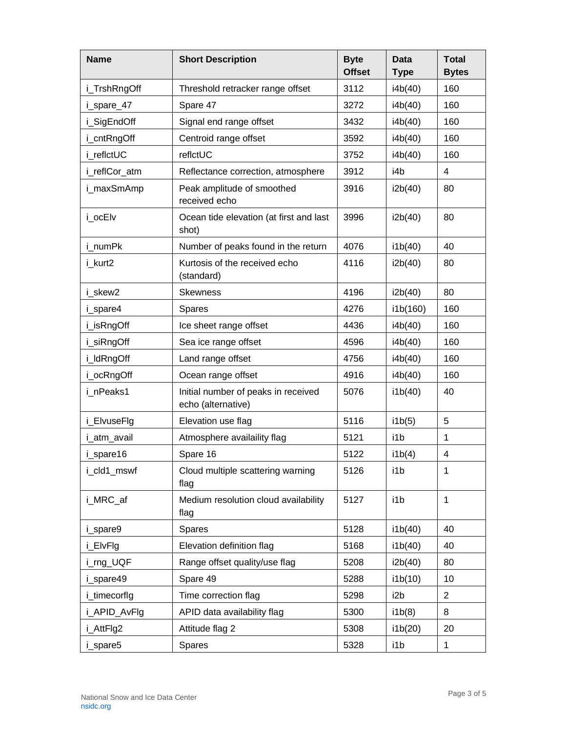| <b>Name</b>   | <b>Short Description</b>                                  | <b>Byte</b><br><b>Offset</b> | <b>Data</b><br><b>Type</b> | <b>Total</b><br><b>Bytes</b> |
|---------------|-----------------------------------------------------------|------------------------------|----------------------------|------------------------------|
| i_TrshRngOff  | Threshold retracker range offset                          | 3112                         | i4b(40)                    | 160                          |
| i_spare_47    | Spare 47                                                  | 3272                         | i4b(40)                    | 160                          |
| i_SigEndOff   | Signal end range offset                                   | 3432                         | i4b(40)                    | 160                          |
| i_cntRngOff   | Centroid range offset                                     | 3592                         | i4b(40)                    | 160                          |
| i reflctUC    | reflctUC                                                  | 3752                         | i4b(40)                    | 160                          |
| i_reflCor_atm | Reflectance correction, atmosphere                        | 3912                         | i4b                        | 4                            |
| i_maxSmAmp    | Peak amplitude of smoothed<br>received echo               | 3916                         | i2b(40)                    | 80                           |
| i_ocElv       | Ocean tide elevation (at first and last<br>shot)          | 3996                         | i2b(40)                    | 80                           |
| i numPk       | Number of peaks found in the return                       | 4076                         | i1b(40)                    | 40                           |
| i kurt2       | Kurtosis of the received echo<br>(standard)               | 4116                         | i2b(40)                    | 80                           |
| i skew2       | <b>Skewness</b>                                           | 4196                         | i2b(40)                    | 80                           |
| i_spare4      | Spares                                                    | 4276                         | i1b(160)                   | 160                          |
| i_isRngOff    | Ice sheet range offset                                    | 4436                         | i4b(40)                    | 160                          |
| i_siRngOff    | Sea ice range offset                                      | 4596                         | i4b(40)                    | 160                          |
| i_ldRngOff    | Land range offset                                         | 4756                         | i4b(40)                    | 160                          |
| i_ocRngOff    | Ocean range offset                                        | 4916                         | i4b(40)                    | 160                          |
| i nPeaks1     | Initial number of peaks in received<br>echo (alternative) | 5076                         | i1b(40)                    | 40                           |
| i_ElvuseFlg   | Elevation use flag                                        | 5116                         | i1b(5)                     | 5                            |
| i_atm_avail   | Atmosphere availaility flag                               | 5121                         | i1b                        | $\mathbf{1}$                 |
| i_spare16     | Spare 16                                                  | 5122                         | i1b(4)                     | 4                            |
| i_cld1_mswf   | Cloud multiple scattering warning<br>flag                 | 5126                         | i1b                        | 1                            |
| i_MRC_af      | Medium resolution cloud availability<br>flag              | 5127                         | i1b                        | 1                            |
| i_spare9      | Spares                                                    | 5128                         | i1b(40)                    | 40                           |
| i_ElvFlg      | Elevation definition flag                                 | 5168                         | i1b(40)                    | 40                           |
| i_rng_UQF     | Range offset quality/use flag                             | 5208                         | i2b(40)                    | 80                           |
| i_spare49     | Spare 49                                                  | 5288                         | i1b(10)                    | 10                           |
| i_timecorflg  | Time correction flag                                      | 5298                         | i2b                        | $\overline{2}$               |
| i_APID_AvFlg  | APID data availability flag                               | 5300                         | i1b(8)                     | 8                            |
| i_AttFlg2     | Attitude flag 2                                           | 5308                         | i1b(20)                    | 20                           |
| i_spare5      | Spares                                                    | 5328                         | i1b                        | $\mathbf{1}$                 |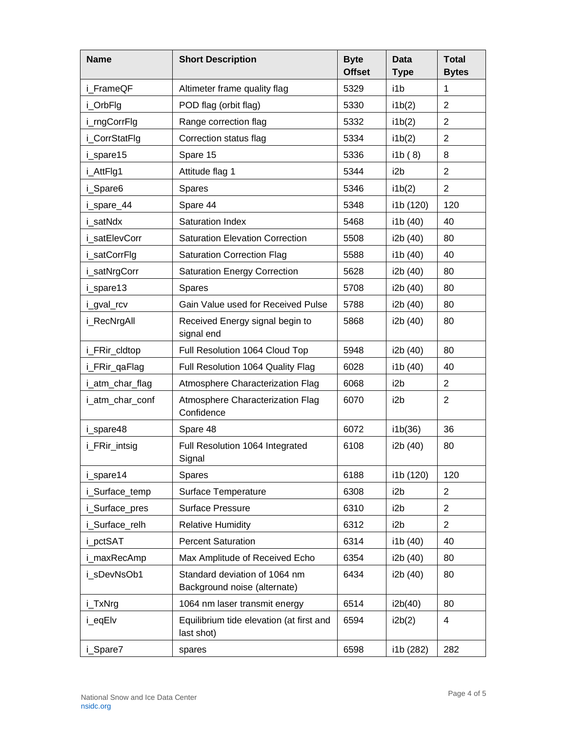| <b>Name</b>     | <b>Short Description</b>                                      | <b>Byte</b><br><b>Offset</b> | Data<br><b>Type</b> | <b>Total</b><br><b>Bytes</b> |
|-----------------|---------------------------------------------------------------|------------------------------|---------------------|------------------------------|
| i FrameQF       | Altimeter frame quality flag                                  | 5329                         | i1b                 | 1                            |
| i_OrbFlg        | POD flag (orbit flag)                                         | 5330                         | i1b(2)              | $\overline{2}$               |
| i_rngCorrFlg    | Range correction flag                                         | 5332                         | i1b(2)              | $\overline{2}$               |
| i_CorrStatFlg   | Correction status flag                                        | 5334                         | ib(2)               | $\overline{2}$               |
| i spare15       | Spare 15                                                      | 5336                         | i1b(8)              | 8                            |
| i_AttFlg1       | Attitude flag 1                                               | 5344                         | i2b                 | $\overline{2}$               |
| i_Spare6        | <b>Spares</b>                                                 | 5346                         | i1b(2)              | $\overline{2}$               |
| i_spare_44      | Spare 44                                                      | 5348                         | i1b (120)           | 120                          |
| i satNdx        | Saturation Index                                              | 5468                         | i1b (40)            | 40                           |
| i satElevCorr   | <b>Saturation Elevation Correction</b>                        | 5508                         | i2b (40)            | 80                           |
| i_satCorrFlg    | <b>Saturation Correction Flag</b>                             | 5588                         | i1b (40)            | 40                           |
| i_satNrgCorr    | <b>Saturation Energy Correction</b>                           | 5628                         | i2b (40)            | 80                           |
| i_spare13       | <b>Spares</b>                                                 | 5708                         | i2b (40)            | 80                           |
| i_gval_rcv      | Gain Value used for Received Pulse                            | 5788                         | i2b (40)            | 80                           |
| i_RecNrgAll     | Received Energy signal begin to<br>signal end                 | 5868                         | i2b (40)            | 80                           |
| i_FRir_cldtop   | Full Resolution 1064 Cloud Top                                | 5948                         | i2b (40)            | 80                           |
| i_FRir_qaFlag   | Full Resolution 1064 Quality Flag                             | 6028                         | i1b (40)            | 40                           |
| i_atm_char_flag | Atmosphere Characterization Flag                              | 6068                         | i2b                 | $\overline{2}$               |
| i_atm_char_conf | Atmosphere Characterization Flag<br>Confidence                | 6070                         | i2b                 | $\overline{2}$               |
| i_spare48       | Spare 48                                                      | 6072                         | i1b(36)             | 36                           |
| i_FRir_intsig   | Full Resolution 1064 Integrated<br>Signal                     | 6108                         | i2b (40)            | 80                           |
| i_spare14       | <b>Spares</b>                                                 | 6188                         | i1b (120)           | 120                          |
| i_Surface_temp  | Surface Temperature                                           | 6308                         | i2b                 | $\overline{2}$               |
| i_Surface_pres  | <b>Surface Pressure</b>                                       | 6310                         | i2b                 | $\overline{2}$               |
| i Surface relh  | <b>Relative Humidity</b>                                      | 6312                         | i2b                 | 2                            |
| i_pctSAT        | <b>Percent Saturation</b>                                     | 6314                         | i1b (40)            | 40                           |
| i maxRecAmp     | Max Amplitude of Received Echo                                | 6354                         | i2b (40)            | 80                           |
| i_sDevNsOb1     | Standard deviation of 1064 nm<br>Background noise (alternate) | 6434                         | i2b (40)            | 80                           |
| i_TxNrg         | 1064 nm laser transmit energy                                 | 6514                         | i2b(40)             | 80                           |
| i_eqElv         | Equilibrium tide elevation (at first and<br>last shot)        | 6594                         | i2b(2)              | 4                            |
| i_Spare7        | spares                                                        | 6598                         | i1b (282)           | 282                          |